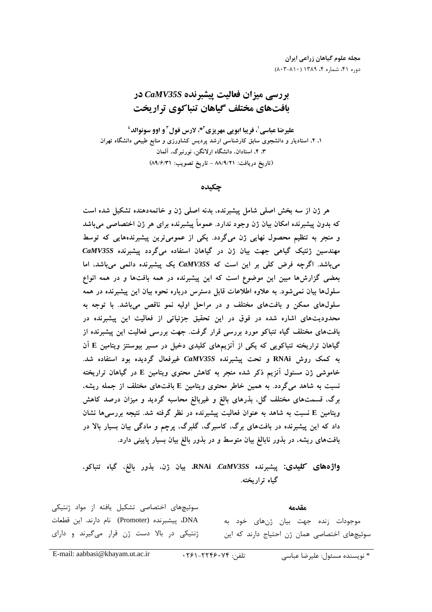مجله علوم گیاهان زراعی ایران  $(A \cdot Y - A) \cdot (Y \wedge Y \wedge Y)$  دوره ۴۱، شماره ۴، ۱۳۸۹

# **بررسی میزان فعالیت پیشبرنده CaMV35S در** بافتهای مختلف گیاهان تنباکوی تراریخت

علیرضا عباسی <sup>۱</sup>، فریبا ابویی مهریزی<sup>4x،</sup> لارس فول<sup>0</sup> و اوو سونوالد<sup>؛</sup> ۱، ۲، استادیار و دانشجوی سابق کارشناسی ارشد پردیس کشاورزی و منابع طبیعی دانشگاه تهران ۴، ۴، استادان، دانشگاه ارلانگن، نورنبرگ، آلمان (تاريخ دريافت: ٨٨/٩/٢١ - تاريخ تصويب: ٨٩/٤/٣١)

چکیده

هر ژن از سه بخش اصلی شامل پیشبرنده، بدنه اصلی ژن و خاتمهدهنده تشکیل شده است که بدون پیشبرنده امکان بیان ژن وجود ندارد. عموماً پیشبرنده برای هر ژن اختصاصی میباشد و منجر به تنظیم محصول نهایی ژن میگردد. یکی از عمومیترین پیشبرندههایی که توسط مهندسین ژنتیک گیاهی جهت بیان ژن در گیاهان استفاده میگردد پیشبرنده CaMV35S میباشد. اگرچه فرض کلی بر این است که CaMV35S یک پیشبرنده دائمی میباشد، اما بعضی گزارشها مبین این موضوع است که این پیشبرنده در همه بافتها و در همه انواع سلولها بیان نمیشود. به علاوه اطلاعات قابل دسترس درباره نحوه بیان این پیشبرنده در همه سلولهای ممکن و بافتهای مختلف و در مراحل اولیه نمو ناقص میباشد. با توجه به محدودیتهای اشاره شده در فوق در این تحقیق جزئیاتی از فعالیت این پیشبرنده در بافتهای مختلف گیاه تنباکو مورد بررسی قرار گرفت. جهت بررسی فعالیت این پیشبرنده از گیاهان تراریخته تنباکویی که یکی از آنزیمهای کلیدی دخیل در مسیر بیوسنتز ویتامین E آن به کمک روش RNAi و تحت پیشبرنده CaMV35S غیرفعال گردیده بود استفاده شد. خاموشی ژن مسئول آنزیم ذکر شده منجر به کاهش محتوی ویتامین E در گیاهان تراریخته نسبت به شاهد میگردد. به همین خاطر محتوی ویتامین E بافتهای مختلف از جمله ریشه، برگ، قسمتهای مختلف گل، بذرهای بالغ و غیربالغ محاسبه گردید و میزان درصد کاهش ویتامین E نسبت به شاهد به عنوان فعالیت پیشبرنده در نظر گرفته شد. نتیجه بررسی ها نشان داد که این پیشبرنده در بافتهای برگ، کاسبرگ، گلبرگ، پرچم و مادگی بیان بسیار بالا در بافتهای ریشه، در بذور نابالغ بیان متوسط و در بذور بالغ بیان بسیار پایینی دارد.

واژههای کلیدی: پیشبرنده RNAi .CaMV35S، بیان ژن، بذور بالغ، گیاه تنباکو، گیاه تراریخته.

سوئیچهای اختصاصی تشکیل یافته از مواد ژنتیکی مقدمه DNA، پیشبرنده (Promoter) نام دارند. این قطعات موجودات زنده جهت بيان ژنهای خود به ژنتیکی در بالا دست ژن قرار می گیرند و دارای سوئیچهای اختصاصی همان ژن احتیاج دارند که این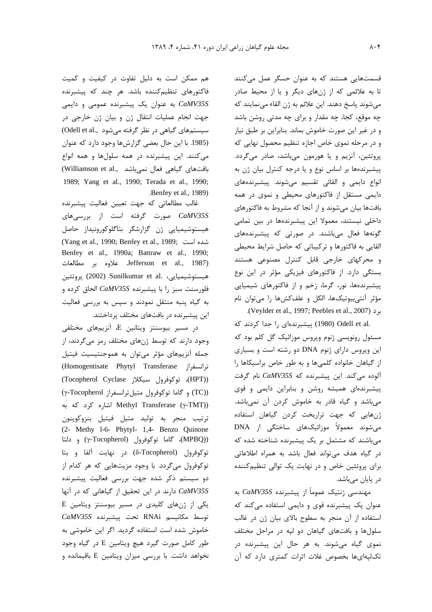قسمتهایی هستند که به عنوان حسگر عمل میکنند تا به علائمی که از ژنهای دیگر و یا از محیط صادر می شوند پاسخ دهند. این علائم به ژن القاء می نمایند که چه موقع، کجا، چه مقدار و برای چه مدتی روشن باشد و در غیر این صورت خاموش بماند. بنابراین بر طبق نیاز و در مرحله نموی خاص اجازه تنظیم محصول نهایی که پروتئین، آنزیم و یا هورمون میباشد، صادر میگردد. پیشبرندهها بر اساس نوع و یا درجه کنترل بیان ژن به انواع دايمي و القائي تقسيم مي شوند. پيشبرندههاي دایمی مستقل از فاکتورهای محیطی و نموی در همه بافتها بیان میشوند و از آنجا که مشروط به فاکتورهای داخلی نیستند، معمولا این پیشبرندهها در بین تمامی گونهها فعال میباشند. در صورتی که پیشبرندههای القایی به فاکتورها و ترکیباتی که حاصل شرایط محیطی و محركهاى خارجى قابل كنترل مصنوعى هستند بستگی دارد. از فاکتورهای فیزیکی مؤثر در این نوع پیشبرندهها، نور، گرما، زخم و از فاکتورهای شیمیایی مؤثر آنتیبیوتیکها، الکل و علفکشها را میتوان نام

.(Veylder et al., 1997; Peebles et al., 2007). .Odell et al (1980) ییشبرندهای را جدا کردند که مسئول رونویسی ژنوم ویروس موزائیک گل کلم بود که این ویروس دارای ژنوم DNA دو رشته است و بسیاری از گیاهان خانواده کلمیها و به طور خاص براسیکاها را آلوده میکند. این پیشبرنده که CaMV35S نام گرفت پیشبرندهای همیشه روشن و بنابراین دایمی و قوی می باشد و گیاه قادر به خاموش کردن آن نمی باشد. ژنهایی که جهت تراریخت کردن گیاهان استفاده می شوند معمولاً موزائیکهای ساختگی از DNA می باشند که مشتمل بر یک پیشبرنده شناخته شده که در گیاه هدف می تواند فعال باشد به همراه اطلاعاتی برای پروتئین خاص و در نهایت یک توالی تنظیم کننده در پایان میباشد.

مهندسی ژنتیک عموماً از پیشبرنده CaMV35S به عنوان یک پیشبرنده قوی و دایمی استفاده میکند که استفاده از آن منجر به سطوح بالای بیان ژن در غالب سلولها و بافتهای گیاهان دو لپه در مراحل مختلف نموی گیاه میشوند. به هر حال این پیشبرنده در تک لیهای ها بخصوص غلات اثرات کمتری دارد که آن

هم ممکن است به دلیل تفاوت در کیفیت و کمیت فاکتورهای تنظیمکننده باشد. هر چند که پیشبرنده به عنوان یک پیشبرنده عمومی و دایمی CaMV35S جهت انجام عملیات انتقال ژن و بیان ژن خارجی در سیستمهای گیاهی در نظر گرفته می شود .Odell et al. (1985. با این حال بعضی گزارش ها وجود دارد که عنوان می کنند. این پیشبرنده در همه سلولها و همه انواع (Williamson et al., بافتهای گیاهی فعال نمیباشد) 1989; Yang et al., 1990; Terada et al., 1990; .Benfey et al., 1989)

غالب مطالعاتی که جهت تعیین فعالیت پیشبرنده CaMV35S صورت گرفته است از بررسیهای هیستوشیمیایی ژن گزارشگر بتاگلوکورونیداز حاصل (Yang et al., 1990; Benfey et al., 1989; شده است Benfey et al., 1990a; Battraw et al., 1990; Jefferson et al., 1987). علاوه بر مطالعات هیستوشیمیایی، Sunilkumar et al. یروتئین (2002) فلورسنت سبز را با پیشبرنده CaMV35S الحاق کرده و به گیاه پنبه منتقل نمودند و سپس به بررسی فعالیت این پیشبرنده در بافتهای مختلف پرداختند.

در مسیر بیوسنتز ویتانین E، آنزیمهای مختلفی وجود دارند که توسط ژنهای مختلف رمز میگردند، از جمله آنزیمهای مؤثر می توان به هموجنتیسیت فیتیل ترانسفراز Homogentisate Phytyl Transferase) (HPT))، توكوفرول سيكلاز (Tocopherol Cyclase) (TC)) و گاما توکوفرول متیل ترانسفراز γ-Tocopherol) Methyl Transferase (γ-TMT)) اشاره کرد که به ترتيب منجر به توليد متيل فيتيل بنزوكوينون (2- Methy 1-6- Phytyl- 1,4- Benzo Quinone (MPBQ))، گاما توکوفرول (Tocopherol) و دلتا توكوفرول (Tocopherol) در نهايت آلفا و بتا توکوفرول میگردد. با وجود مزیتهایی که هر کدام از دو سیستم ذکر شده جهت بررسی فعالیت پیشبرنده CaMV35S دارند در این تحقیق از گیاهانی که در آنها  $E$  یکی از ژنهای کلیدی در مسیر بیوسنتز ویتامین توسط مكانيسم RNAi تحت پيشبرنده CaMV35S خاموش شده است استفاده گردید. اگر این خاموشی به طور کامل صورت گیرد هیچ ویتامین E در گیاه وجود نخواهد داشت. با بررسی میزان ویتامین E باقیمانده و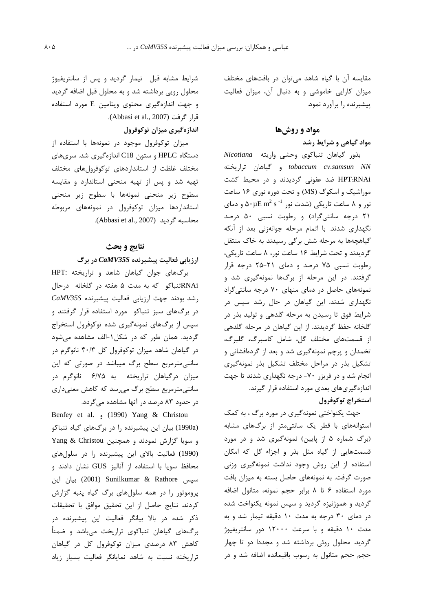مقایسه آن با گیاه شاهد میتوان در بافتهای مختلف میزان کارایی خاموشی و به دنبال آن، میزان فعالیت پیشبرنده را برآورد نمود.

#### مواد و روشها

## مواد گیاهی و شرایط رشد

بذور گیاهان تنباکوی وحشی واریته Nicotiana tobaccum cv.samsun NN و گیاهان تراریخته HPT:RNAi ضد عفونی گردیدند و در محیط کشت موراشیک و اسکوگ (MS) و تحت دوره نوری ۱۶ ساعت نور و ۸ ساعت تاریکی (شدت نور ۵۰μE m<sup>2</sup> s فر و دمای ۲۱ درجه سانتی گراد) و رطوبت نسبی ۵۰ درصد نگهداری شدند. با اتمام مرحله جوانهزنی بعد از آنکه گیاهچهها به مرحله شش برگی رسیدند به خاک منتقل گردیدند و تحت شرایط ۱۶ ساعت نور، ۸ ساعت تاریکی، رطوبت نسبی ۷۵ درصد و دمای ۲۱-۲۵ درجه قرار گرفتند. در این مرحله از برگها نمونهگیری شد و نمونههای حاصل در دمای منهای ۷۰ درجه سانتی گراد نگهداری شدند. این گیاهان در حال رشد سیس در شرایط فوق تا رسیدن به مرحله گلدهی و تولید بذر در گلخانه حفظ گردیدند. از این گیاهان در مرحله گلدهی از قسمتهای مختلف گل، شامل کاسبرگ، گلبرگ، تخمدان و پرچم نمونهگیری شد و بعد از گردهافشانی و تشکیل بذر در مراحل مختلف تشکیل بذر نمونهگیری انجام شد و در فریزر ۷۰- درجه نگهداری شدند تا جهت اندازهگیریهای بعدی مورد استفاده قرار گیرند. استخراج توكوفرول

جهت یکنواختی نمونهگیری در مورد برگ ، به کمک استوانههای با قطر یک سانتی متر از برگهای مشابه (برگ شماره ۵ از پایین) نمونهگیری شد و در مورد قسمتهایی از گیاه مثل بذر و اجزاء گل که امکان استفاده از این روش وجود نداشت نمونهگیری وزنی صورت گرفت. به نمونههای حاصل بسته به میزان بافت مورد استفاده ۶ تا ۸ برابر حجم نمونه، متانول اضافه گردید و هموژنیزه گردید و سپس نمونه یکنواخت شده در دمای ۳۰ درجه به مدت ۱۰ دقیقه تیمار شد و به مدت ۱۰ دقیقه و با سرعت ۱۲۰۰۰ دور سانتریفیوژ گردید. محلول روئی برداشته شد و مجددا دو تا چهار حجم حجم متانول به رسوب باقیمانده اضافه شد و در

شرایط مشابه قبل تیمار گردید و پس از سانتریفیوژ محلول رویی برداشته شد و به محلول قبل اضافه گردید و جهت اندازهگیری محتوی ویتامین E مورد استفاده قرار گرفت (Abbasi et al., 2007).

## اندازهگیری میزان توکوفرول

میزان توکوفرول موجود در نمونهها با استفاده از دستگاه HPLC و ستون C18 اندازهگیری شد. سریهای مختلف غلظت از استانداردهای توکوفرولهای مختلف تهیه شد و پس از تهیه منحنی استاندارد و مقایسه سطوح زير منحنى نمونهها با سطوح زير منحنى استانداردها میزان توکوفرول در نمونههای مربوطه محاسبه گردید (Abbasi et al., 2007).

## نتايج و بحث

ارزیابی فعالیت پیشبرنده CaMV35S در برگ

برگهای جوان گیاهان شاهد و تراریخته :HPT RNAiتنباکو که به مدت ۵ هفته در گلخانه درحال رشد بودند جهت ارزيابي فعاليت پيشبرنده CaMV35S در برگ های سبز تنباکو مورد استفاده قرار گرفتند و سپس از برگهای نمونهگیری شده توکوفرول استخراج گردید. همان طور که در شکل ۱-الف مشاهده میشود در گیاهان شاهد میزان توکوفرول کل ۴۰/۳ نانوگرم در سانتی مترمربع سطح برگ میباشد در صورتی که این میزان درگیاهان تراریخته به ۶/۷۵ نانوگرم در سانتیمترمربع سطح برگ میرسد که کاهش معنیداری در حدود ۸۳ درصد در آنها مشاهده میگردد.

Benfey et al. (1990) Yang & Christou (1990a) بیان این پیشبرنده را در برگهای گیاه تنباکو و سویا گزارش نمودند و همچنین Yang & Christou (1990) فعالیت بالای این پیشبرنده را در سلول های محافظ سویا با استفاده از آنالیز GUS نشان دادند و سپس Sunilkumar & Rathore بيان اين پروموتور را در همه سلولهای برگ گیاه پنبه گزارش كردند. نتايج حاصل از اين تحقيق موافق با تحقيقات ذکر شده در بالا بیانگر فعالیت این پیشبرنده در برگهای گیاهان تنباکوی تراریخت می باشد و ضمناً کاهش ۸۳ درصدی میزان توکوفرول کل در گیاهان تراریخته نسبت به شاهد نمایانگر فعالیت بسیار زیاد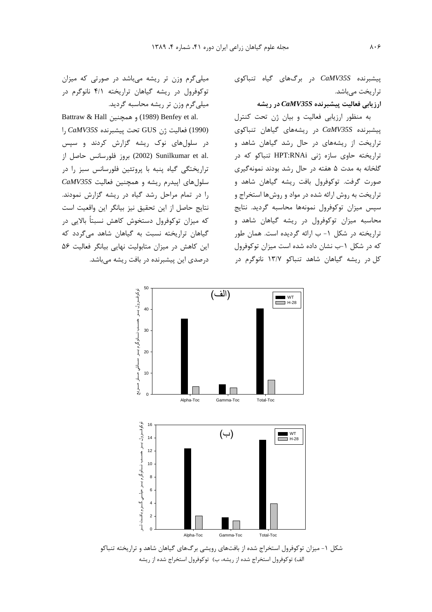$caMV35S$  در برگهای گیاه تنباکوی تراریخت مے باشد.

#### ارزیابی فعالیت پیشبرنده CaMV35S در ریشه

به منظور ارزیابی فعالیت و بیان ژن تحت کنترل ییشبرنده CaMV35S در ریشههای گیاهان تنباکوی تراریخت از ریشههای در حال رشد گیاهان شاهد و تراریخته حاوی سازه ژنی HPT:RNAi تنباکو که در گلخانه به مدت ۵ هفته در حال رشد بودند نمونهگیری صورت گرفت. توكوفرول بافت ريشه گياهان شاهد و تراریخت به روش ارائه شده در مواد و روشها استخراج و سپس میزان توکوفرول نمونهها محاسبه گردید. نتایج محاسبه میزان توکوفرول در ریشه گیاهان شاهد و تراریخته در شکل ۱- ب ارائه گردیده است. همان طور که در شکل ۱-ب نشان داده شده است میزان توکوفرول کل در ریشه گیاهان شاهد تنباکو ۱۳/۷ نانوگرم در

میلی گرم وزن تر ریشه می باشد در صورتی که میزان توکوفرول در ریشه گیاهان تراریخته ۴/۱ نانوگرم در میلی گرم وزن تر ریشه محاسبه گردید.

Battraw & Hall و همچنین Benfey et al. را (1990) فعاليت ژن GUS تحت پيشبرنده CaMV35S را در سلول های نوک ریشه گزارش کردند و سپس .2002) Sunilkumar et al (2002) بروز فلورسانس حاصل از تراریختگی گیاه پنبه با پروتئین فلورسانس سبز را در سلول های اپیدرم ریشه و همچنین فعالیت CaMV35S را در تمام مراحل رشد گیاه در ریشه گزارش نمودند. نتايج حاصل از اين تحقيق نيز بيانگر اين واقعيت است که میزان توکوفرول دستخوش کاهش نسبتاً بالایی در گیاهان تراریخته نسبت به گیاهان شاهد میگردد که این کاهش در میزان متابولیت نهایی بیانگر فعالیت ۵۶ درصدی این پیشبرنده در بافت ریشه میباشد.



شکل ۱- میزان توکوفرول استخراج شده از بافتهای رویشی برگهای گیاهان شاهد و تراریخته تنباکو الف) توكوفرول استخراج شده از ريشه، ب) توكوفرول استخراج شده از ريشه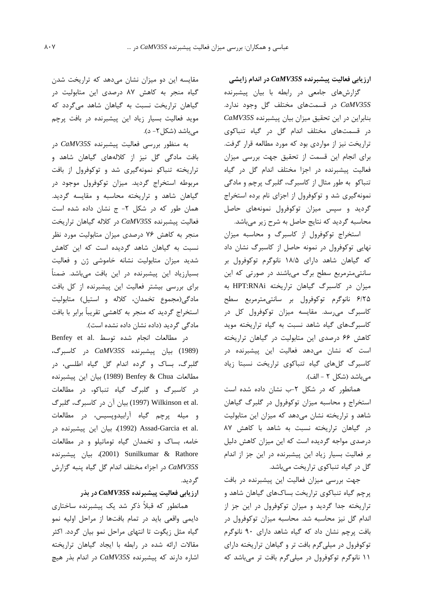ارزیابی فعالیت پیشبرنده CaMV35S در اندام زایشی

گزارشهای جامعی در رابطه با بیان پیشبرنده CaMV35S در قسمتهای مختلف گل وجود ندارد. بنابراین در این تحقیق میزان بیان پیشبرنده CaMV35S در قسمتهای مختلف اندام گل در گیاه تنباکوی تراریخت نیز از مواردی بود که مورد مطالعه قرار گرفت. برای انجام این قسمت از تحقیق جهت بررسی میزان فعالیت پیشبرنده در اجزا مختلف اندام گل در گیاه تنباکو به طور مثال از کاسبرگ، گلبرگ پرچم و مادگی نمونهگیری شد و توکوفرول از اجزای نام برده استخراج گردید و سپس میزان توکوفرول نمونههای حاصل محاسبه گردید که نتایج حاصل به شرح زیر میباشد.

استخراج توکوفرول از کاسبرگ و محاسبه میزان نهایی توکوفرول در نمونه حاصل از کاسبرگ نشان داد که گیاهان شاهد دارای ۱۸/۵ نانوگرم توکوفرول بر سانتی مترمربع سطح برگ میباشند در صورتی که این میزان در کاسبرگ گیاهان تراریخته HPT:RNAi به ۶/۲۵ نانوگرم توكوفرول بر سانتىمترمربع سطح کاسبرگ می رسد. مقایسه میزان توکوفرول کل در کاسبر گهای گیاه شاهد نسبت به گیاه تراریخته موید کاهش ۶۶ درصدی این متابولیت در گیاهان تراریخته است که نشان میدهد فعالیت این پیشبرنده در كاسبرگ گلهاى گياه تنباكوى تراريخت نسبتا زياد مى باشد (شكل ٢ - الف).

همانطور که در شکل ۲-ب نشان داده شده است استخراج و محاسبه میزان توکوفرول در گلبرگ گیاهان شاهد و تراریخته نشان میدهد که میزان این متابولیت در گیاهان تراریخته نسبت به شاهد با کاهش ۸۷ درصدی مواجه گردیده است که این میزان کاهش دلیل بر فعالیت بسیار زیاد این پیشبرنده در این جز از اندام گل در گیاه تنباکوی تراریخت میباشد.

جهت بررسی میزان فعالیت این پیشبرنده در بافت پرچم گیاه تنباکوی تراریخت بساکهای گیاهان شاهد و تراریخته جدا گردید و میزان توکوفرول در این جز از اندام گل نیز محاسبه شد. محاسبه میزان توکوفرول در بافت پرچم نشان داد که گیاه شاهد دارای ۹۰ نانوگرم توکوفرول در میلی گرم بافت تر و گیاهان تراریخته دارای ۱۱ نانوگرم توکوفرول در میلیگرم بافت تر میباشد که

مقایسه این دو میزان نشان میدهد که تراریخت شدن گیاه منجر به کاهش ۸۷ درصدی این متابولیت در گیاهان تراریخت نسبت به گیاهان شاهد میگردد که موید فعالیت بسیار زیاد این پیشبرنده در بافت پرچم می باشد (شکل ۲- د).

به منظور بررسی فعالیت پیشبرنده CaMV35S در بافت مادگی گل نیز از کلالههای گیاهان شاهد و تراریخته تنباکو نمونهگیری شد و توکوفرول از بافت مربوطه استخراج گردید. میزان توکوفرول موجود در گیاهان شاهد و تراریخته محاسبه و مقایسه گردید. همان طور که در شکل ۲- ج نشان داده شده است فعاليت پيشبرنده CaMV35S در كلاله گياهان تراريخت منجر به کاهش ۷۶ درصدی میزان متابولیت مورد نظر نسبت به گیاهان شاهد گردیده است که این کاهش شدید میزان متابولیت نشانه خاموشی ژن و فعالیت بسیارزیاد این پیشبرنده در این بافت میباشد. ضمناً برای بررسی بیشتر فعالیت این پیشبرنده از کل بافت مادگی(مجموع تخمدان، کلاله و استیل) متابولیت استخراج گردید که منجر به کاهشی تقریباً برابر با بافت مادگی گردید (داده نشان داده نشده است).

در مطالعات انجام شده توسط .Benfey et al (1989) بيان پيشبرنده CaMV35S در كاسبرگ، گلبرگ، بساک و گرده اندام گل گیاه اطلسی، در مطالعات Benfey & Chua (1989) بيان اين ييشبرنده در کاسبرگ و گلبرگ گیاه تنباکو، در مطالعات .Wilkinson et al (1997) بيان أن در كاسبرگ، گلبرگ و میله پرچم گیاه آرابیدوپسیس، در مطالعات .Assad-Garcia et al)، بيان اين ييشبرنده در خامه، بساک و تخمدان گیاه توماتیلو و در مطالعات ر (2001) Sunilkumar & Rathore در اجزاء مختلف اندام گل گیاه پنبه گزارش CaMV35S گر دید.

ارزیابی فعالیت پیشبرنده CaMV35S در بذر

همانطور که قبلاً ذکر شد یک پیشبرنده ساختاری دایمی واقعی باید در تمام بافتها از مراحل اولیه نمو گیاه مثل زیگوت تا انتهای مراحل نمو بیان گردد. اکثر مقالات ارائه شده در رابطه با ایجاد گیاهان تراریخته اشاره دارند که پیشبرنده CaMV35S در اندام بذر هیچ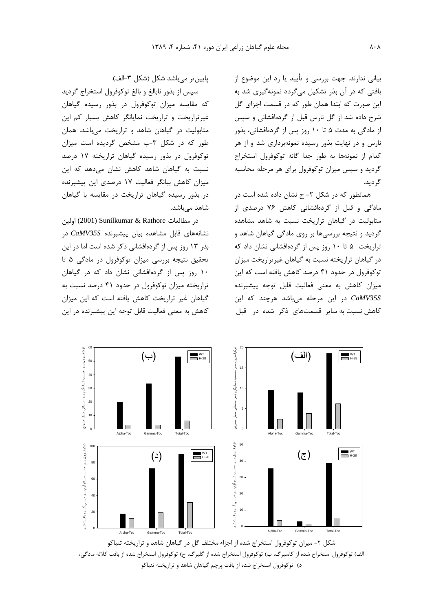بیانی ندارند. جهت بررسی و تأیید یا رد این موضوع از بافتی که در آن بذر تشکیل میگردد نمونهگیری شد به این صورت که ابتدا همان طور که در قسمت اجزای گل شرح داده شد از گل نارس قبل از گردهافشانی و سپس از مادگی به مدت ۵ تا ۱۰ روز پس از گردهافشانی، بذور نارس و در نهایت بذور رسیده نمونهبرداری شد و از هر كدام از نمونهها به طور جدا گانه توكوفرول استخراج گردید و سپس میزان توکوفرول برای هر مرحله محاسبه گر دید.

همانطور که در شکل ۲- ج نشان داده شده است در مادگی و قبل از گردهافشانی کاهش ۷۶ درصدی از متابولیت در گیاهان تراریخت نسبت به شاهد مشاهده گردید و نتیجه بررسیها بر روی مادگی گیاهان شاهد و تراریخت ۵ تا ۱۰ روز پس از گردهافشانی نشان داد که در گیاهان تراریخته نسبت به گیاهان غیرتراریخت میزان توکوفرول در حدود ۴۱ درصد کاهش یافته است که این میزان کاهش به معنی فعالیت قابل توجه پیشبرنده در این مرحله می باشد هرچند که این CaMV35S کاهش نسبت به سایر قسمتهای ذکر شده در قبل

ياپين تر مي باشد شكل (شكل ٣-الف).

سپس از بذور نابالغ و بالغ توکوفرول استخراج گردید که مقایسه میزان توکوفرول در بذور رسیده گیاهان غیرتراریخت و تراریخت نمایانگر کاهش بسیار کم این متابولیت در گیاهان شاهد و تراریخت میباشد. همان طور که در شکل ٣-ب مشخص گرديده است ميزان توکوفرول در بذور رسیده گیاهان تراریخته ۱۷ درصد نسبت به گیاهان شاهد کاهش نشان میدهد که این میزان کاهش بیانگر فعالیت ١٧ درصدی این پیشبرنده در بذور رسیده گیاهان تراریخت در مقایسه با گیاهان شاهد می باشد.

در مطالعات Sunilkumar & Rathore (2001) اولين نشانههای قابل مشاهده بیان پیشبرنده CaMV35S در بذر ١٣ روز پس از گردهافشانی ذكر شده است اما در اين تحقیق نتیجه بررسی میزان توکوفرول در مادگی ۵ تا ١٠ روز پس از گردهافشانی نشان داد که در گیاهان تراریخته میزان توکوفرول در حدود ۴۱ درصد نسبت به گیاهان غیر تراریخت کاهش یافته است که این میزان كاهش به معنى فعاليت قابل توجه اين ييشبرنده در اين



الف) توكوفرول استخراج شده از كاسبرگ، ب) توكوفرول استخراج شده از گلبرگ، ج) توكوفرول استخراج شده از بافت كلاله مادگي، د) توکوفرول استخراج شده از بافت پرچم گیاهان شاهد و تراریخته تنباکو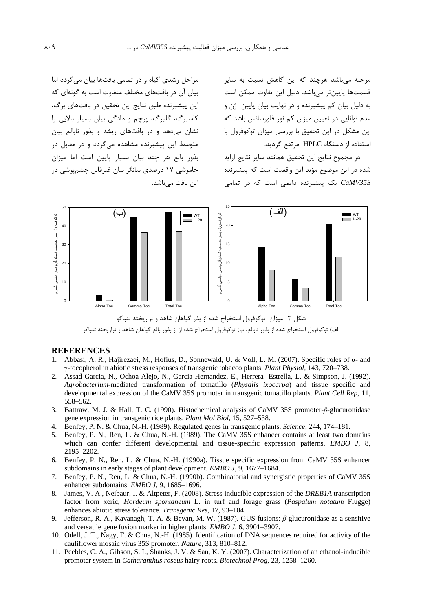مرحله میباشد هرچند که این کاهش نسبت به سایر قسمتها پایینتر میباشد. دلیل این تفاوت ممکن است به دلیل بیان کم پیشبرنده و در نهایت بیان پایین اژن و عدم توانایی در تعیین میزان کم نور فلورسانس باشد که این مشکل در این تحقیق با بررسی میزان توکوفرول با استفاده از دستگاه HPLC مرتفع گردید.

در مجموع نتايج اين تحقيق همانند ساير نتايج ارايه شده در این موضوع مؤید این واقعیت است که پیشبرنده CaMV35S یک پیشبرنده دایمی است که در تمامی

مراحل رشدی گیاه و در تمامی بافتها بیان می گردد اما بیان آن در بافتهای مختلف متفاوت است به گونهای که این پیشبرنده طبق نتایج این تحقیق در بافتهای برگ، کاسبرگ، گلبرگ، پرچم و مادگی بیان بسیار بالایی را نشان میدهد و در بافتهای ریشه و بذور نابالغ بیان متوسط این پیشبرنده مشاهده مے گردد و در مقابل در بذور بالغ هر چند بیان بسیار پایین است اما میزان خاموشی ۱۷ درصدی بیانگر بیان غیرقابل چشمپوشی در این بافت میباشد.



الف) توكوفرول استخراج شده از بذور نابالغ، ب) توكوفرول استخراج شده از از بذور بالغ گياهان شاهد و تراريخته تنباكو

#### **REFERENCES**

- Abbasi, A. R., Hajirezaei, M., Hofius, D., Sonnewald, U. & Voll, L. M. (2007). Specific roles of  $\alpha$  and  $\mathbf{1}$ γ-tocopherol in abiotic stress responses of transgenic tobacco plants. Plant Physiol, 143, 720-738.
- Assad-Garcia, N., Ochoa-Alejo, N., Garcia-Hernandez, E., Herrera- Estrella, L. & Simpson, J. (1992). 2. Agrobacterium-mediated transformation of tomatillo (Physalis ixocarpa) and tissue specific and developmental expression of the CaMV 35S promoter in transgenic tomatillo plants. Plant Cell Rep, 11, 558-562.
- 3. Battraw, M. J. & Hall, T. C. (1990). Histochemical analysis of CaMV 35S promoter- $\beta$ -glucuronidase gene expression in transgenic rice plants. Plant Mol Biol, 15, 527–538.
- 4. Benfey, P. N. & Chua, N.-H. (1989). Regulated genes in transgenic plants. Science, 244, 174–181.
- 5. Benfey, P. N., Ren, L. & Chua, N.-H. (1989). The CaMV 35S enhancer contains at least two domains which can confer different developmental and tissue-specific expression patterns. EMBO J, 8, 2195-2202.
- 6. Benfey, P. N., Ren, L. & Chua, N.-H. (1990a). Tissue specific expression from CaMV 35S enhancer subdomains in early stages of plant development. *EMBO J*, 9, 1677–1684.
- 7. Benfey, P. N., Ren, L. & Chua, N.-H. (1990b). Combinatorial and synergistic properties of CaMV 35S enhancer subdomains. EMBO J, 9, 1685-1696.
- James, V. A., Neibaur, I. & Altpeter, F. (2008). Stress inducible expression of the *DREB1A* transcription  $8<sup>1</sup>$ factor from xeric, *Hordeum spontaneum* L. in turf and forage grass (Paspalum notatum Flugge) enhances abiotic stress tolerance. Transgenic Res, 17, 93-104.
- 9. Jefferson, R. A., Kavanagh, T. A. & Bevan, M. W. (1987). GUS fusions:  $\beta$ -glucuronidase as a sensitive and versatile gene fusion marker in higher plants. EMBO J, 6, 3901-3907.
- 10. Odell, J. T., Nagy, F. & Chua, N.-H. (1985). Identification of DNA sequences required for activity of the cauliflower mosaic virus 35S promoter. Nature, 313, 810-812.
- 11. Peebles, C. A., Gibson, S. I., Shanks, J. V. & San, K. Y. (2007). Characterization of an ethanol-inducible promoter system in Catharanthus roseus hairy roots. Biotechnol Prog, 23, 1258-1260.